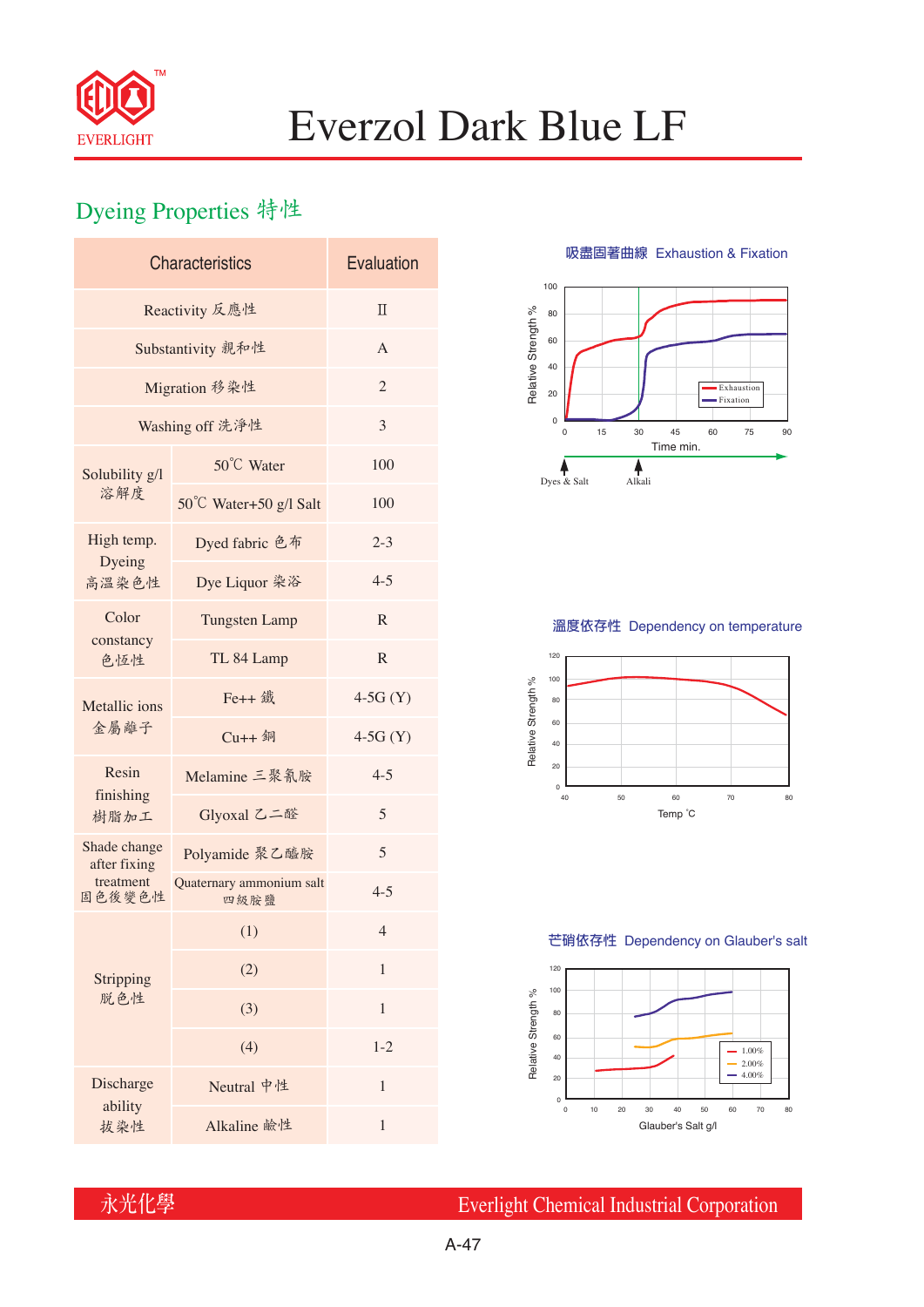

# Everzol Dark Blue LF

## Dyeing Properties 特性

| <b>Characteristics</b>       | Evaluation                       |                |  |  |  |
|------------------------------|----------------------------------|----------------|--|--|--|
| Reactivity 反應性               | $\Pi$                            |                |  |  |  |
| Substantivity 親和性            | A                                |                |  |  |  |
| Migration 移染性                | $\overline{2}$                   |                |  |  |  |
| Washing off 洗淨性              | 3                                |                |  |  |  |
| Solubility g/l<br>溶解度        | 50°C Water                       | 100            |  |  |  |
|                              | 50°C Water+50 g/l Salt           | 100            |  |  |  |
| High temp.                   | Dyed fabric 色布                   | $2 - 3$        |  |  |  |
| Dyeing<br>高溫染色性              | Dye Liquor 染浴                    | $4 - 5$        |  |  |  |
| Color<br>constancy<br>色恆性    | <b>Tungsten Lamp</b>             | R              |  |  |  |
|                              | TL 84 Lamp                       | $\mathbf R$    |  |  |  |
| Metallic ions<br>金屬離子        | Fe++ 鐵                           | $4-5G(Y)$      |  |  |  |
|                              | Cu++ 銅                           | $4-5G(Y)$      |  |  |  |
| Resin<br>finishing<br>樹脂加工   | Melamine 三聚氰胺                    | $4 - 5$        |  |  |  |
|                              | Glyoxal 乙二醛                      | 5              |  |  |  |
| Shade change<br>after fixing | Polyamide 聚乙醯胺                   | 5              |  |  |  |
| treatment<br>固色後變色性          | Quaternary ammonium salt<br>四級胺鹽 | $4 - 5$        |  |  |  |
|                              | (1)                              | $\overline{4}$ |  |  |  |
| Stripping<br>脱色性             | (2)                              | $\mathbf{1}$   |  |  |  |
|                              | (3)                              | 1              |  |  |  |
|                              | (4)                              | $1 - 2$        |  |  |  |
| Discharge                    | Neutral 中性                       | 1              |  |  |  |
| ability<br>拔染性               | Alkaline 鹼性                      | 1              |  |  |  |

**吸盡固著曲線** Exhaustion & Fixation



### **溫度依存性** Dependency on temperature



#### **芒硝依存性** Dependency on Glauber's salt